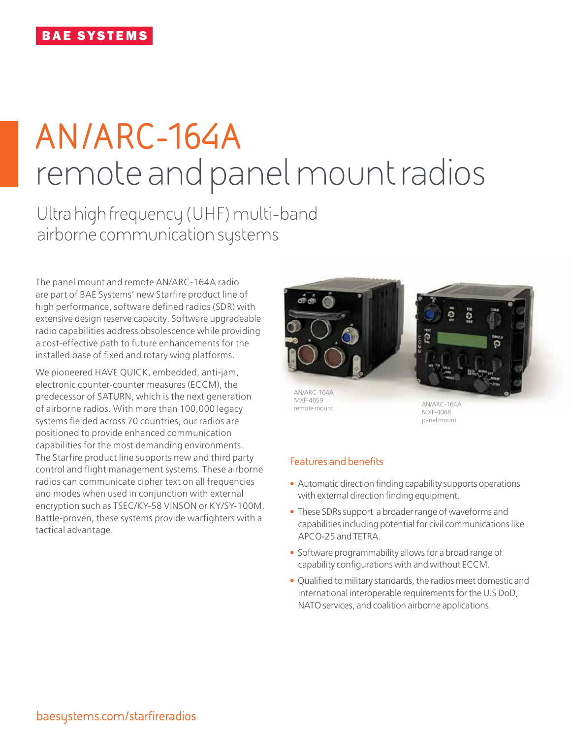# **AN/ARC-164A** remote and panel mount radios

Ultra high frequency (UHF) multi-band airborne communication systems

The panel mount and remote AN/ARC-164A radio are part of BAE Systems' new Starfire product line of high performance, software defined radios (SDR) with extensive design reserve capacity. Software upgradeable radio capabilities address obsolescence while providing a cost-effective path to future enhancements for the installed base of fixed and rotary wing platforms.

We pioneered HAVE QUICK, embedded, anti-jam, electronic counter-counter measures (ECCM), the predecessor of SATURN, which is the next generation of airborne radios. With more than 100,000 legacy systems fielded across 70 countries, our radios are positioned to provide enhanced communication capabilities for the most demanding environments. The Starfire product line supports new and third party control and flight management systems. These airborne radios can communicate cipher text on all frequencies and modes when used in conjunction with external encryption such as TSEC/KY-58 VINSON or KY/SY-100M. Battle-proven, these systems provide warfighters with a tactical advantage.



AN/ARC-164A MXF-4059 remote mount

AN/ARC-164A MXF-4068 panel mount

# **Features and benefits**

- Automatic direction finding capability supports operations with external direction finding equipment.
- These SDRs support a broader range of waveforms and capabilities including potential for civil communications like APCO-25 and TETRA.
- Software programmability allows for a broad range of capability configurations with and without ECCM.
- Qualified to military standards, the radios meet domestic and international interoperable requirements for the U.S DoD, NATO services, and coalition airborne applications.